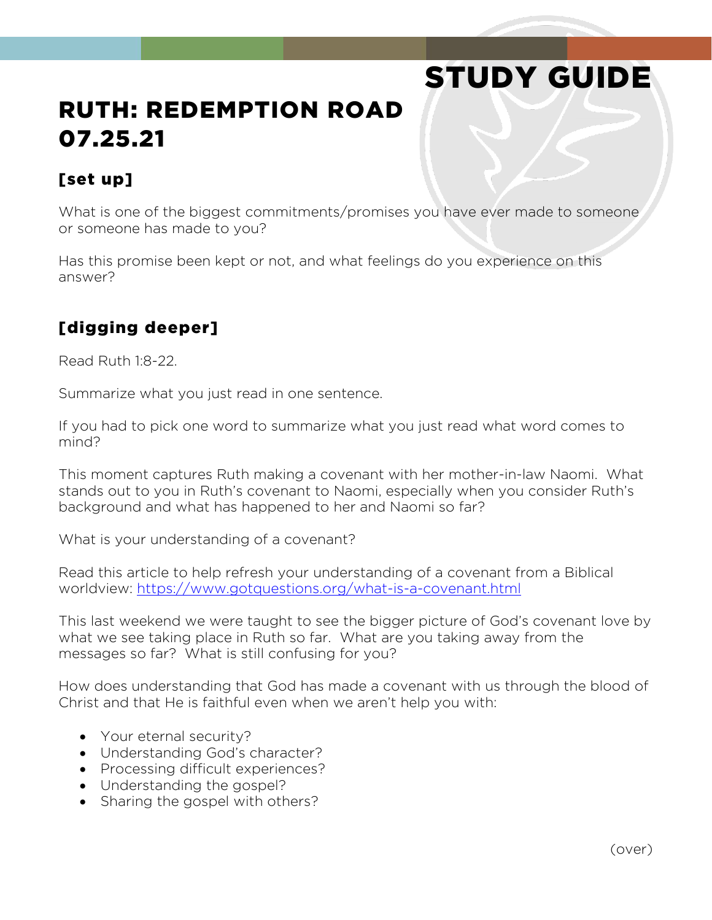# STUDY GUIDE

# RUTH: REDEMPTION ROAD 07.25.21

#### [set up]

What is one of the biggest commitments/promises you have ever made to someone or someone has made to you?

Has this promise been kept or not, and what feelings do you experience on this answer?

### [digging deeper]

Read Ruth 1:8-22.

Summarize what you just read in one sentence.

If you had to pick one word to summarize what you just read what word comes to mind?

This moment captures Ruth making a covenant with her mother-in-law Naomi. What stands out to you in Ruth's covenant to Naomi, especially when you consider Ruth's background and what has happened to her and Naomi so far?

What is your understanding of a covenant?

Read this article to help refresh your understanding of a covenant from a Biblical worldview:<https://www.gotquestions.org/what-is-a-covenant.html>

This last weekend we were taught to see the bigger picture of God's covenant love by what we see taking place in Ruth so far. What are you taking away from the messages so far? What is still confusing for you?

How does understanding that God has made a covenant with us through the blood of Christ and that He is faithful even when we aren't help you with:

- Your eternal security?
- Understanding God's character?
- Processing difficult experiences?
- Understanding the gospel?
- Sharing the gospel with others?